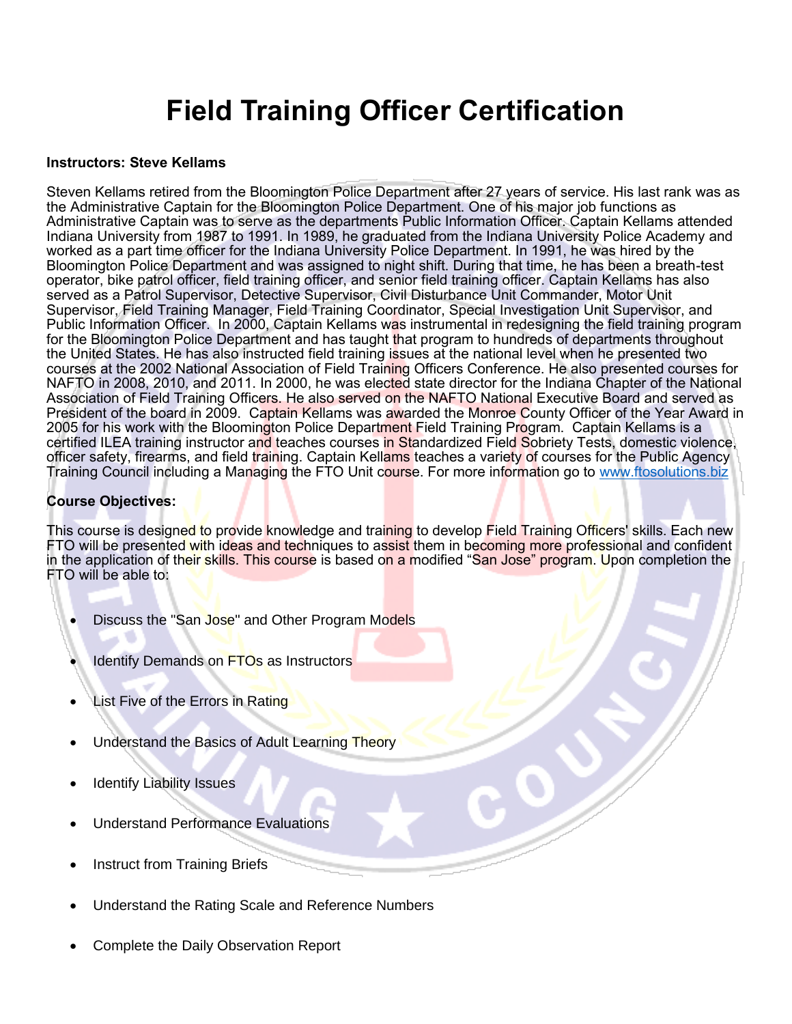# **Field Training Officer Certification**

#### **Instructors: Steve Kellams**

Steven Kellams retired from the Bloomington Police Department after 27 years of service. His last rank was as the Administrative Captain for the Bloomington Police Department. One of his major job functions as Administrative Captain was to serve as the departments Public Information Officer. Captain Kellams attended Indiana University from 1987 to 1991. In 1989, he graduated from the Indiana University Police Academy and worked as a part time officer for the Indiana University Police Department. In 1991, he was hired by the Bloomington Police Department and was assigned to night shift. During that time, he has been a breath-test operator, bike patrol officer, field training officer, and senior field training officer. Captain Kellams has also served as a Patrol Supervisor, Detective Supervisor, Civil Disturbance Unit Commander, Motor Unit Supervisor, Field Training Manager, Field Training Coordinator, Special Investigation Unit Supervisor, and Public Information Officer. In 2000, Captain Kellams was instrumental in redesigning the field training program for the Bloomington Police Department and has taught that program to hundreds of departments throughout the United States. He has also instructed field training issues at the national level when he presented two courses at the 2002 National Association of Field Training Officers Conference. He also presented courses for NAFTO in 2008, 2010, and 2011. In 2000, he was elected state director for the Indiana Chapter of the National Association of Field Training Officers. He also served on the NAFTO National Executive Board and served as President of the board in 2009. Captain Kellams was awarded the Monroe County Officer of the Year Award in 2005 for his work with the Bloomington Police Department Field Training Program. Captain Kellams is a certified ILEA training instructor and teaches courses in Standardized Field Sobriety Tests, domestic violence, officer safety, firearms, and field training. Captain Kellams teaches a variety of courses for the Public Agency Training Council including a Managing the FTO Unit course. For more information go to [www.ftosolutions.biz](http://www.ftosolutions.biz/)

#### **Course Objectives:**

This course is designed to provide knowledge and training to develop Field Training Officers' skills. Each new FTO will be presented with ideas and techniques to assist them in becoming more professional and confident in the application of their skills. This course is based on a modified "San Jose" program. Upon completion the FTO will be able to:

- Discuss the "San Jose" and Other Program Models
- Identify Demands on FTOs as Instructors
- List Five of the Errors in Rating
- Understand the Basics of Adult Learning Theory
- **Identify Liability Issues**
- Understand Performance Evaluations
- Instruct from Training Briefs
- Understand the Rating Scale and Reference Numbers
- Complete the Daily Observation Report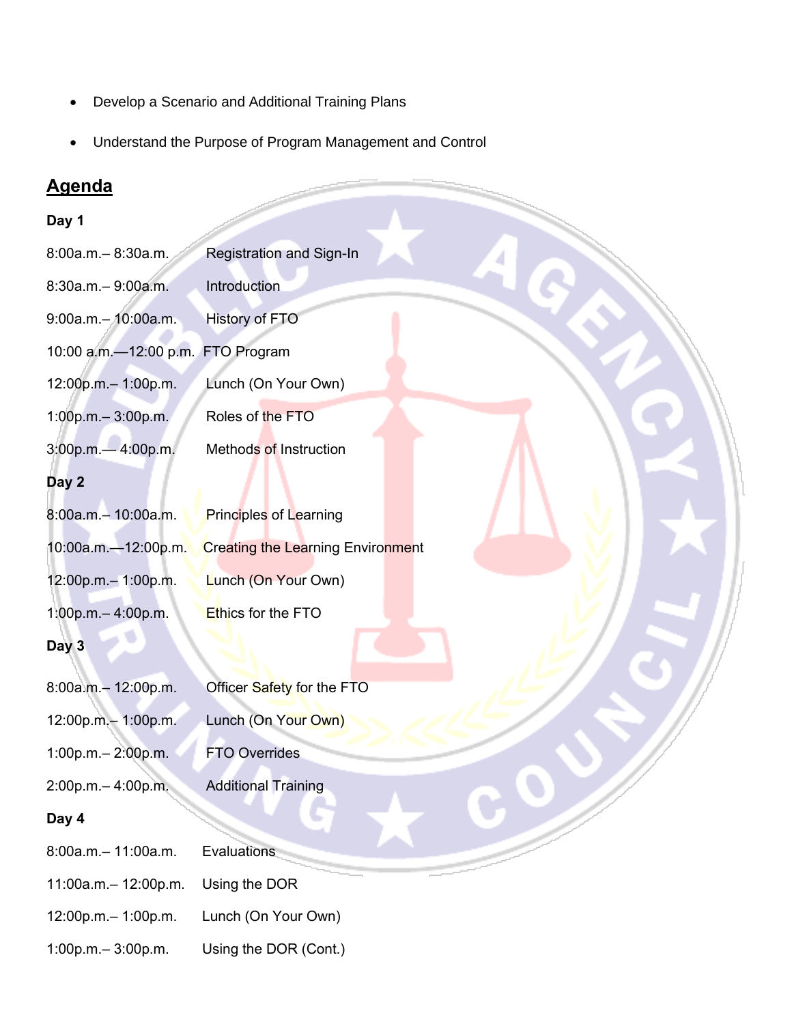- Develop a Scenario and Additional Training Plans
- Understand the Purpose of Program Management and Control

# **Agenda**

# **Day 1**

| Day 1                             |                                          |
|-----------------------------------|------------------------------------------|
| 8:00a.m.-8:30a.m.                 | <b>Registration and Sign-In</b>          |
| 8:30a.m.-9:00a.m.                 | <b>Introduction</b>                      |
| 9:00a.m.- 10:00a.m.               | <b>History of FTO</b>                    |
| 10:00 a.m.-12:00 p.m. FTO Program |                                          |
| 12:00p.m.-1:00p.m.                | Lunch (On Your Own)                      |
| 1:00p.m.-3:00p.m.                 | Roles of the FTO                         |
| 3:00p.m.-4:00p.m.                 | Methods of Instruction                   |
| Day 2                             |                                          |
| 8:00a.m.- 10:00a.m.               | <b>Principles of Learning</b>            |
| 10:00a.m.-12:00p.m.               | <b>Creating the Learning Environment</b> |
| 12:00p.m.-1:00p.m.                | Lunch (On Your Own)                      |
| 1:00p.m.-4:00p.m.                 | Ethics for the FTO                       |
| Day 3                             |                                          |
| 8:00a.m.- 12:00p.m.               | Officer Safety for the FTO               |
| 12:00p.m.- 1:00p.m.               | Lunch (On Your Own)                      |
| 1:00p.m.-2:00p.m.                 | <b>FTO Overrides</b>                     |
| 2:00p.m.-4:00p.m.                 | <b>Additional Training</b>               |
| Day 4                             |                                          |
| 8:00a.m.- 11:00a.m.               | Evaluations                              |
| 11:00a.m.- 12:00p.m.              | Using the DOR                            |
| 12:00p.m.-1:00p.m.                | Lunch (On Your Own)                      |
| 1:00p.m.-3:00p.m.                 | Using the DOR (Cont.)                    |

 $\label{eq:1} \begin{array}{ll} \mathcal{L}_{\text{max}} & \mathcal{L}_{\text{max}} \\ \mathcal{L}_{\text{max}} & \mathcal{L}_{\text{max}} \end{array}$ чÜ.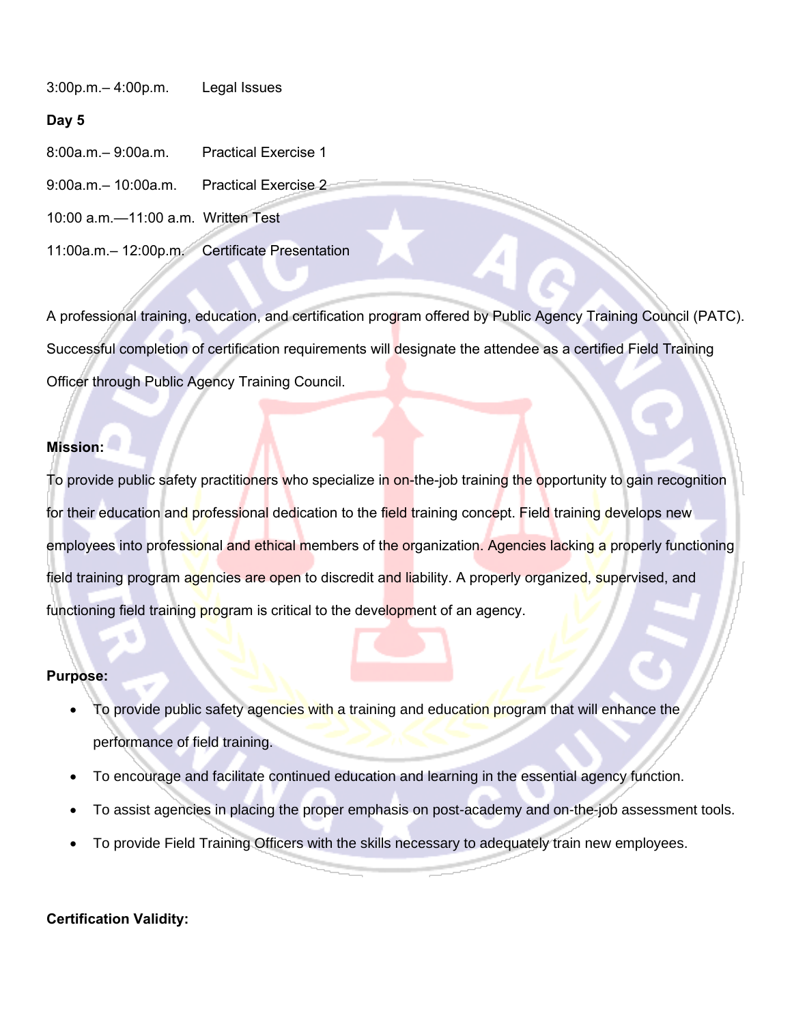3:00p.m.– 4:00p.m. Legal Issues

#### **Day 5**

- 8:00a.m.– 9:00a.m. Practical Exercise 1
- 9:00a.m.– 10:00a.m. Practical Exercise 2
- 10:00 a.m.—11:00 a.m. Written Test
- 11:00a.m.– 12:00p.m. Certificate Presentation

A professional training, education, and certification program offered by Public Agency Training Council (PATC). Successful completion of certification requirements will designate the attendee as a certified Field Training Officer through Public Agency Training Council.

#### **Mission:**

To provide public safety practitioners who specialize in on-the-job training the opportunity to gain recognition for their education and professional dedication to the field training concept. Field training develops new employees into professional and ethical members of the organization. Agencies lacking a properly functioning field training program agencies are open to discredit and liability. A properly organized, supervised, and functioning field training program is critical to the development of an agency.

#### **Purpose:**

- To provide public safety agencies with a training and education program that will enhance the performance of field training.
- To encourage and facilitate continued education and learning in the essential agency function.
- To assist agencies in placing the proper emphasis on post-academy and on-the-job assessment tools.
- To provide Field Training Officers with the skills necessary to adequately train new employees.

#### **Certification Validity:**